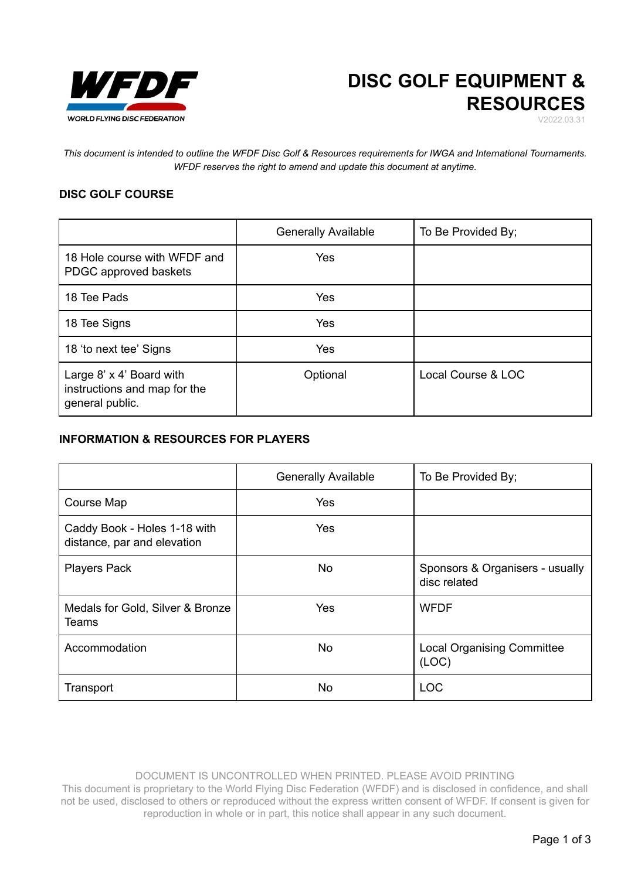

V2022.03.31

*This document is intended to outline the WFDF Disc Golf & Resources requirements for IWGA and International Tournaments. WFDF reserves the right to amend and update this document at anytime.*

# **DISC GOLF COURSE**

|                                                                             | <b>Generally Available</b> | To Be Provided By; |
|-----------------------------------------------------------------------------|----------------------------|--------------------|
| 18 Hole course with WFDF and<br>PDGC approved baskets                       | Yes                        |                    |
| 18 Tee Pads                                                                 | Yes                        |                    |
| 18 Tee Signs                                                                | Yes                        |                    |
| 18 'to next tee' Signs                                                      | Yes                        |                    |
| Large 8' x 4' Board with<br>instructions and map for the<br>general public. | Optional                   | Local Course & LOC |

# **INFORMATION & RESOURCES FOR PLAYERS**

|                                                             | <b>Generally Available</b> | To Be Provided By;                              |
|-------------------------------------------------------------|----------------------------|-------------------------------------------------|
| Course Map                                                  | Yes                        |                                                 |
| Caddy Book - Holes 1-18 with<br>distance, par and elevation | Yes                        |                                                 |
| <b>Players Pack</b>                                         | No                         | Sponsors & Organisers - usually<br>disc related |
| Medals for Gold, Silver & Bronze<br>Teams                   | Yes                        | <b>WFDF</b>                                     |
| Accommodation                                               | <b>No</b>                  | <b>Local Organising Committee</b><br>(LOC)      |
| Transport                                                   | No.                        | <b>LOC</b>                                      |

DOCUMENT IS UNCONTROLLED WHEN PRINTED. PLEASE AVOID PRINTING

This document is proprietary to the World Flying Disc Federation (WFDF) and is disclosed in confidence, and shall not be used, disclosed to others or reproduced without the express written consent of WFDF. If consent is given for reproduction in whole or in part, this notice shall appear in any such document.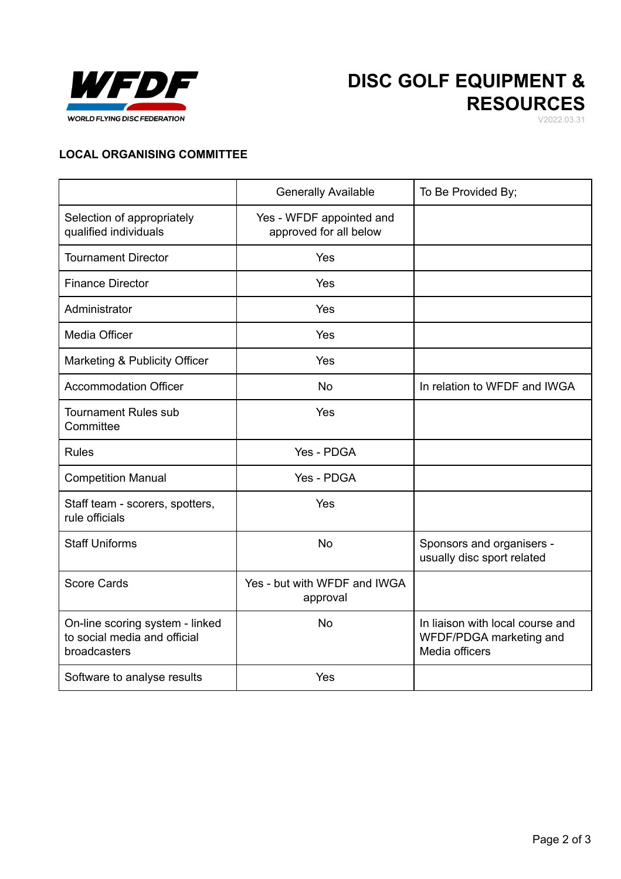



V2022.03.31

# **LOCAL ORGANISING COMMITTEE**

|                                                                                 | <b>Generally Available</b>                         | To Be Provided By;                                                            |
|---------------------------------------------------------------------------------|----------------------------------------------------|-------------------------------------------------------------------------------|
| Selection of appropriately<br>qualified individuals                             | Yes - WFDF appointed and<br>approved for all below |                                                                               |
| <b>Tournament Director</b>                                                      | Yes                                                |                                                                               |
| <b>Finance Director</b>                                                         | Yes                                                |                                                                               |
| Administrator                                                                   | Yes                                                |                                                                               |
| Media Officer                                                                   | Yes                                                |                                                                               |
| Marketing & Publicity Officer                                                   | Yes                                                |                                                                               |
| <b>Accommodation Officer</b>                                                    | <b>No</b>                                          | In relation to WFDF and IWGA                                                  |
| <b>Tournament Rules sub</b><br>Committee                                        | Yes                                                |                                                                               |
| <b>Rules</b>                                                                    | Yes - PDGA                                         |                                                                               |
| <b>Competition Manual</b>                                                       | Yes - PDGA                                         |                                                                               |
| Staff team - scorers, spotters,<br>rule officials                               | Yes                                                |                                                                               |
| <b>Staff Uniforms</b>                                                           | <b>No</b>                                          | Sponsors and organisers -<br>usually disc sport related                       |
| <b>Score Cards</b>                                                              | Yes - but with WFDF and IWGA<br>approval           |                                                                               |
| On-line scoring system - linked<br>to social media and official<br>broadcasters | <b>No</b>                                          | In liaison with local course and<br>WFDF/PDGA marketing and<br>Media officers |
| Software to analyse results                                                     | Yes                                                |                                                                               |